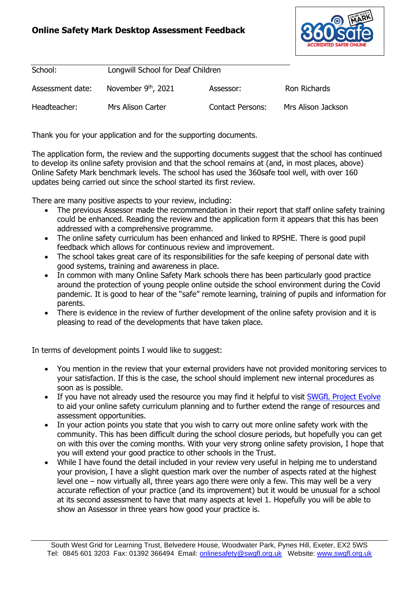## **Online Safety Mark Desktop Assessment Feedback**



| School:          | Longwill School for Deaf Children |                         |                     |
|------------------|-----------------------------------|-------------------------|---------------------|
| Assessment date: | November $9th$ , 2021             | Assessor:               | <b>Ron Richards</b> |
| Headteacher:     | Mrs Alison Carter                 | <b>Contact Persons:</b> | Mrs Alison Jackson  |

Thank you for your application and for the supporting documents.

The application form, the review and the supporting documents suggest that the school has continued to develop its online safety provision and that the school remains at (and, in most places, above) Online Safety Mark benchmark levels. The school has used the 360safe tool well, with over 160 updates being carried out since the school started its first review.

There are many positive aspects to your review, including:

- The previous Assessor made the recommendation in their report that staff online safety training could be enhanced. Reading the review and the application form it appears that this has been addressed with a comprehensive programme.
- The online safety curriculum has been enhanced and linked to RPSHE. There is good pupil feedback which allows for continuous review and improvement.
- The school takes great care of its responsibilities for the safe keeping of personal date with good systems, training and awareness in place.
- In common with many Online Safety Mark schools there has been particularly good practice around the protection of young people online outside the school environment during the Covid pandemic. It is good to hear of the "safe" remote learning, training of pupils and information for parents.
- There is evidence in the review of further development of the online safety provision and it is pleasing to read of the developments that have taken place.

In terms of development points I would like to suggest:

- You mention in the review that your external providers have not provided monitoring services to your satisfaction. If this is the case, the school should implement new internal procedures as soon as is possible.
- If you have not already used the resource you may find it helpful to visit [SWGfL Project Evolve](https://projectevolve.co.uk/) to aid your online safety curriculum planning and to further extend the range of resources and assessment opportunities.
- In your action points you state that you wish to carry out more online safety work with the community. This has been difficult during the school closure periods, but hopefully you can get on with this over the coming months. With your very strong online safety provision, I hope that you will extend your good practice to other schools in the Trust.
- While I have found the detail included in your review very useful in helping me to understand your provision, I have a slight question mark over the number of aspects rated at the highest level one – now virtually all, three years ago there were only a few. This may well be a very accurate reflection of your practice (and its improvement) but it would be unusual for a school at its second assessment to have that many aspects at level 1. Hopefully you will be able to show an Assessor in three years how good your practice is.